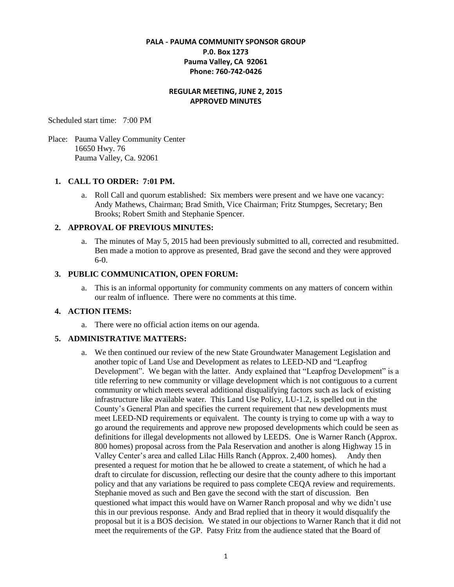## **PALA - PAUMA COMMUNITY SPONSOR GROUP P.0. Box 1273 Pauma Valley, CA 92061 Phone: 760-742-0426**

### **REGULAR MEETING, JUNE 2, 2015 APPROVED MINUTES**

Scheduled start time: 7:00 PM

Place: Pauma Valley Community Center 16650 Hwy. 76 Pauma Valley, Ca. 92061

#### **1. CALL TO ORDER: 7:01 PM.**

a. Roll Call and quorum established: Six members were present and we have one vacancy: Andy Mathews, Chairman; Brad Smith, Vice Chairman; Fritz Stumpges, Secretary; Ben Brooks; Robert Smith and Stephanie Spencer.

#### **2. APPROVAL OF PREVIOUS MINUTES:**

a. The minutes of May 5, 2015 had been previously submitted to all, corrected and resubmitted. Ben made a motion to approve as presented, Brad gave the second and they were approved 6-0.

#### **3. PUBLIC COMMUNICATION, OPEN FORUM:**

a. This is an informal opportunity for community comments on any matters of concern within our realm of influence. There were no comments at this time.

#### **4. ACTION ITEMS:**

a. There were no official action items on our agenda.

#### **5. ADMINISTRATIVE MATTERS:**

a. We then continued our review of the new State Groundwater Management Legislation and another topic of Land Use and Development as relates to LEED-ND and "Leapfrog Development". We began with the latter. Andy explained that "Leapfrog Development" is a title referring to new community or village development which is not contiguous to a current community or which meets several additional disqualifying factors such as lack of existing infrastructure like available water. This Land Use Policy, LU-1.2, is spelled out in the County's General Plan and specifies the current requirement that new developments must meet LEED-ND requirements or equivalent. The county is trying to come up with a way to go around the requirements and approve new proposed developments which could be seen as definitions for illegal developments not allowed by LEEDS. One is Warner Ranch (Approx. 800 homes) proposal across from the Pala Reservation and another is along Highway 15 in Valley Center's area and called Lilac Hills Ranch (Approx. 2,400 homes). Andy then presented a request for motion that he be allowed to create a statement, of which he had a draft to circulate for discussion, reflecting our desire that the county adhere to this important policy and that any variations be required to pass complete CEQA review and requirements. Stephanie moved as such and Ben gave the second with the start of discussion. Ben questioned what impact this would have on Warner Ranch proposal and why we didn't use this in our previous response. Andy and Brad replied that in theory it would disqualify the proposal but it is a BOS decision. We stated in our objections to Warner Ranch that it did not meet the requirements of the GP. Patsy Fritz from the audience stated that the Board of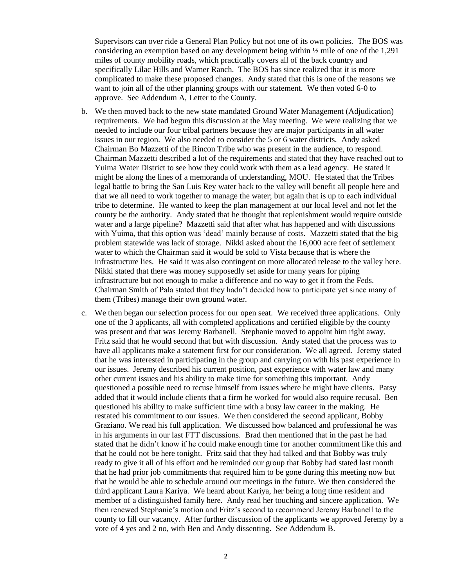Supervisors can over ride a General Plan Policy but not one of its own policies. The BOS was considering an exemption based on any development being within ½ mile of one of the 1,291 miles of county mobility roads, which practically covers all of the back country and specifically Lilac Hills and Warner Ranch. The BOS has since realized that it is more complicated to make these proposed changes. Andy stated that this is one of the reasons we want to join all of the other planning groups with our statement. We then voted 6-0 to approve. See Addendum A, Letter to the County.

- b. We then moved back to the new state mandated Ground Water Management (Adjudication) requirements. We had begun this discussion at the May meeting. We were realizing that we needed to include our four tribal partners because they are major participants in all water issues in our region. We also needed to consider the 5 or 6 water districts. Andy asked Chairman Bo Mazzetti of the Rincon Tribe who was present in the audience, to respond. Chairman Mazzetti described a lot of the requirements and stated that they have reached out to Yuima Water District to see how they could work with them as a lead agency. He stated it might be along the lines of a memoranda of understanding, MOU. He stated that the Tribes legal battle to bring the San Luis Rey water back to the valley will benefit all people here and that we all need to work together to manage the water; but again that is up to each individual tribe to determine. He wanted to keep the plan management at our local level and not let the county be the authority. Andy stated that he thought that replenishment would require outside water and a large pipeline? Mazzetti said that after what has happened and with discussions with Yuima, that this option was 'dead' mainly because of costs. Mazzetti stated that the big problem statewide was lack of storage. Nikki asked about the 16,000 acre feet of settlement water to which the Chairman said it would be sold to Vista because that is where the infrastructure lies. He said it was also contingent on more allocated release to the valley here. Nikki stated that there was money supposedly set aside for many years for piping infrastructure but not enough to make a difference and no way to get it from the Feds. Chairman Smith of Pala stated that they hadn't decided how to participate yet since many of them (Tribes) manage their own ground water.
- c. We then began our selection process for our open seat. We received three applications. Only one of the 3 applicants, all with completed applications and certified eligible by the county was present and that was Jeremy Barbanell. Stephanie moved to appoint him right away. Fritz said that he would second that but with discussion. Andy stated that the process was to have all applicants make a statement first for our consideration. We all agreed. Jeremy stated that he was interested in participating in the group and carrying on with his past experience in our issues. Jeremy described his current position, past experience with water law and many other current issues and his ability to make time for something this important. Andy questioned a possible need to recuse himself from issues where he might have clients. Patsy added that it would include clients that a firm he worked for would also require recusal. Ben questioned his ability to make sufficient time with a busy law career in the making. He restated his commitment to our issues. We then considered the second applicant, Bobby Graziano. We read his full application. We discussed how balanced and professional he was in his arguments in our last FTT discussions. Brad then mentioned that in the past he had stated that he didn't know if he could make enough time for another commitment like this and that he could not be here tonight. Fritz said that they had talked and that Bobby was truly ready to give it all of his effort and he reminded our group that Bobby had stated last month that he had prior job commitments that required him to be gone during this meeting now but that he would be able to schedule around our meetings in the future. We then considered the third applicant Laura Kariya. We heard about Kariya, her being a long time resident and member of a distinguished family here. Andy read her touching and sincere application. We then renewed Stephanie's motion and Fritz's second to recommend Jeremy Barbanell to the county to fill our vacancy. After further discussion of the applicants we approved Jeremy by a vote of 4 yes and 2 no, with Ben and Andy dissenting. See Addendum B.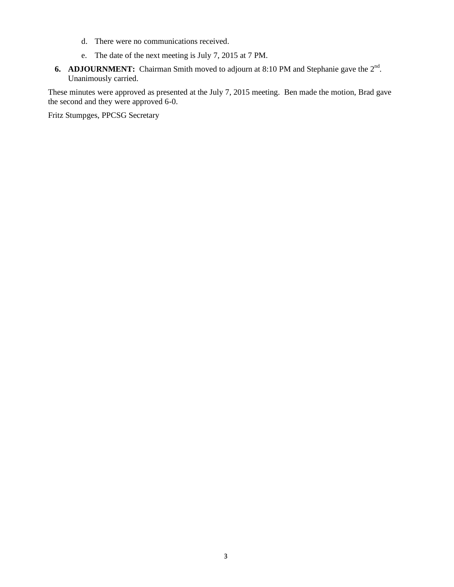- d. There were no communications received.
- e. The date of the next meeting is July 7, 2015 at 7 PM.
- **6. ADJOURNMENT:** Chairman Smith moved to adjourn at 8:10 PM and Stephanie gave the  $2^{nd}$ . Unanimously carried.

These minutes were approved as presented at the July 7, 2015 meeting. Ben made the motion, Brad gave the second and they were approved 6-0.

Fritz Stumpges, PPCSG Secretary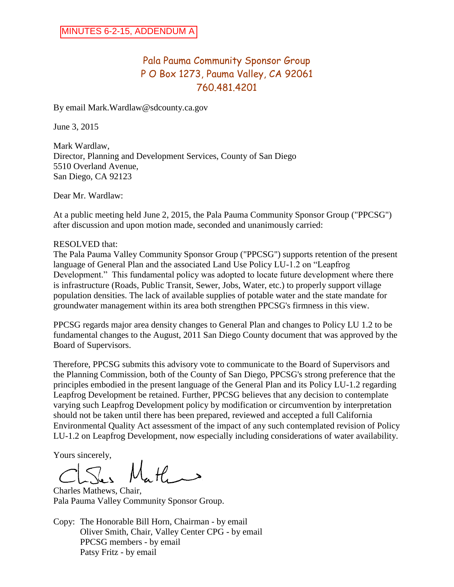# Pala Pauma Community Sponsor Group P O Box 1273, Pauma Valley, CA 92061 760.481.4201

By email Mark.Wardlaw@sdcounty.ca.gov

June 3, 2015

Mark Wardlaw, Director, Planning and Development Services, County of San Diego 5510 Overland Avenue, San Diego, CA 92123

Dear Mr. Wardlaw:

At a public meeting held June 2, 2015, the Pala Pauma Community Sponsor Group ("PPCSG") after discussion and upon motion made, seconded and unanimously carried:

### RESOLVED that:

The Pala Pauma Valley Community Sponsor Group ("PPCSG") supports retention of the present language of General Plan and the associated Land Use Policy LU-1.2 on "Leapfrog Development." This fundamental policy was adopted to locate future development where there is infrastructure (Roads, Public Transit, Sewer, Jobs, Water, etc.) to properly support village population densities. The lack of available supplies of potable water and the state mandate for groundwater management within its area both strengthen PPCSG's firmness in this view.

PPCSG regards major area density changes to General Plan and changes to Policy LU 1.2 to be fundamental changes to the August, 2011 San Diego County document that was approved by the Board of Supervisors.

Therefore, PPCSG submits this advisory vote to communicate to the Board of Supervisors and the Planning Commission, both of the County of San Diego, PPCSG's strong preference that the principles embodied in the present language of the General Plan and its Policy LU-1.2 regarding Leapfrog Development be retained. Further, PPCSG believes that any decision to contemplate varying such Leapfrog Development policy by modification or circumvention by interpretation should not be taken until there has been prepared, reviewed and accepted a full California Environmental Quality Act assessment of the impact of any such contemplated revision of Policy LU-1.2 on Leapfrog Development, now especially including considerations of water availability.

Yours sincerely,

حب بہل کیا

Charles Mathews, Chair, Pala Pauma Valley Community Sponsor Group.

Copy: The Honorable Bill Horn, Chairman - by email Oliver Smith, Chair, Valley Center CPG - by email PPCSG members - by email Patsy Fritz - by email